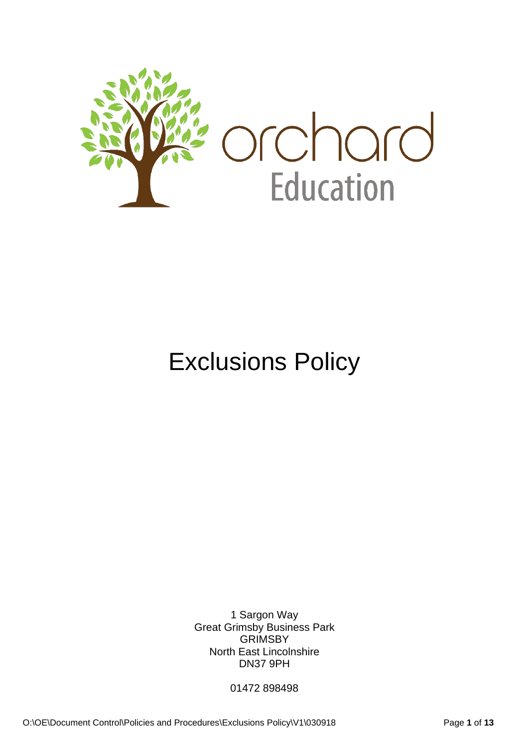

# Exclusions Policy

1 Sargon Way Great Grimsby Business Park **GRIMSBY** North East Lincolnshire DN37 9PH

01472 898498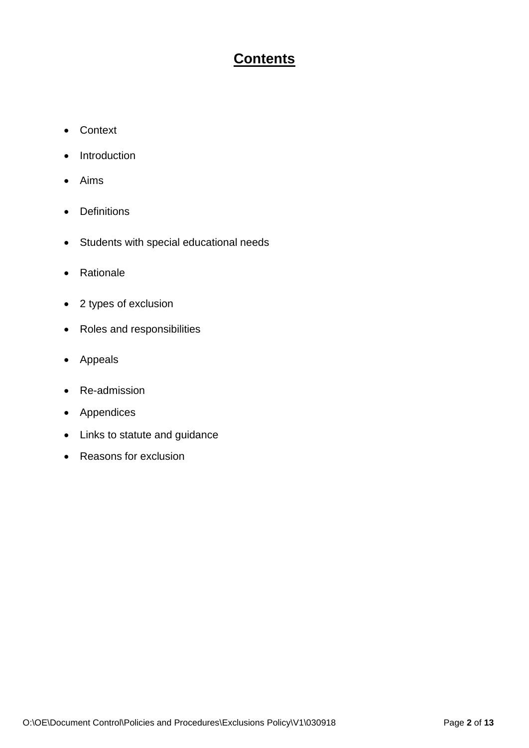### **Contents**

- Context
- Introduction
- Aims
- Definitions
- Students with special educational needs
- Rationale
- 2 types of exclusion
- Roles and responsibilities
- Appeals
- Re-admission
- Appendices
- Links to statute and guidance
- Reasons for exclusion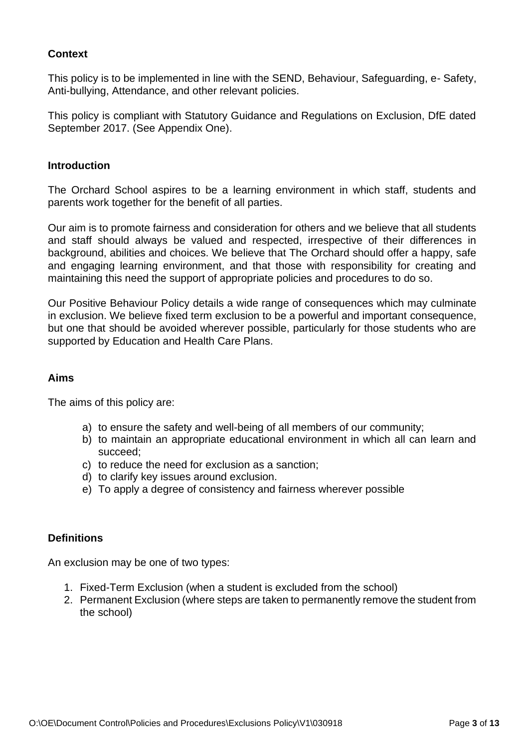#### **Context**

This policy is to be implemented in line with the SEND, Behaviour, Safeguarding, e- Safety, Anti-bullying, Attendance, and other relevant policies.

This policy is compliant with Statutory Guidance and Regulations on Exclusion, DfE dated September 2017. (See Appendix One).

#### **Introduction**

The Orchard School aspires to be a learning environment in which staff, students and parents work together for the benefit of all parties.

Our aim is to promote fairness and consideration for others and we believe that all students and staff should always be valued and respected, irrespective of their differences in background, abilities and choices. We believe that The Orchard should offer a happy, safe and engaging learning environment, and that those with responsibility for creating and maintaining this need the support of appropriate policies and procedures to do so.

Our Positive Behaviour Policy details a wide range of consequences which may culminate in exclusion. We believe fixed term exclusion to be a powerful and important consequence, but one that should be avoided wherever possible, particularly for those students who are supported by Education and Health Care Plans.

#### **Aims**

The aims of this policy are:

- a) to ensure the safety and well-being of all members of our community;
- b) to maintain an appropriate educational environment in which all can learn and succeed;
- c) to reduce the need for exclusion as a sanction;
- d) to clarify key issues around exclusion.
- e) To apply a degree of consistency and fairness wherever possible

#### **Definitions**

An exclusion may be one of two types:

- 1. Fixed-Term Exclusion (when a student is excluded from the school)
- 2. Permanent Exclusion (where steps are taken to permanently remove the student from the school)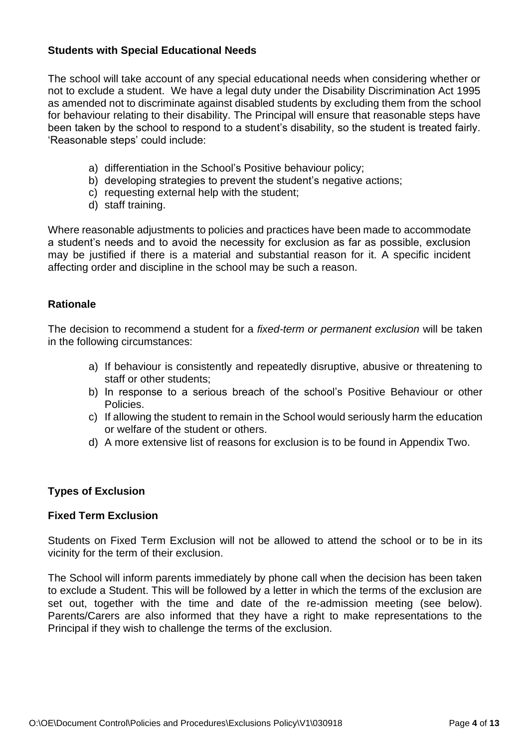#### **Students with Special Educational Needs**

The school will take account of any special educational needs when considering whether or not to exclude a student. We have a legal duty under the Disability Discrimination Act 1995 as amended not to discriminate against disabled students by excluding them from the school for behaviour relating to their disability. The Principal will ensure that reasonable steps have been taken by the school to respond to a student's disability, so the student is treated fairly. 'Reasonable steps' could include:

- a) differentiation in the School's Positive behaviour policy;
- b) developing strategies to prevent the student's negative actions:
- c) requesting external help with the student;
- d) staff training.

Where reasonable adjustments to policies and practices have been made to accommodate a student's needs and to avoid the necessity for exclusion as far as possible, exclusion may be justified if there is a material and substantial reason for it. A specific incident affecting order and discipline in the school may be such a reason.

#### **Rationale**

The decision to recommend a student for a *fixed-term or permanent exclusion* will be taken in the following circumstances:

- a) If behaviour is consistently and repeatedly disruptive, abusive or threatening to staff or other students;
- b) In response to a serious breach of the school's Positive Behaviour or other Policies.
- c) If allowing the student to remain in the School would seriously harm the education or welfare of the student or others.
- d) A more extensive list of reasons for exclusion is to be found in Appendix Two.

#### **Types of Exclusion**

#### **Fixed Term Exclusion**

Students on Fixed Term Exclusion will not be allowed to attend the school or to be in its vicinity for the term of their exclusion.

The School will inform parents immediately by phone call when the decision has been taken to exclude a Student. This will be followed by a letter in which the terms of the exclusion are set out, together with the time and date of the re-admission meeting (see below). Parents/Carers are also informed that they have a right to make representations to the Principal if they wish to challenge the terms of the exclusion.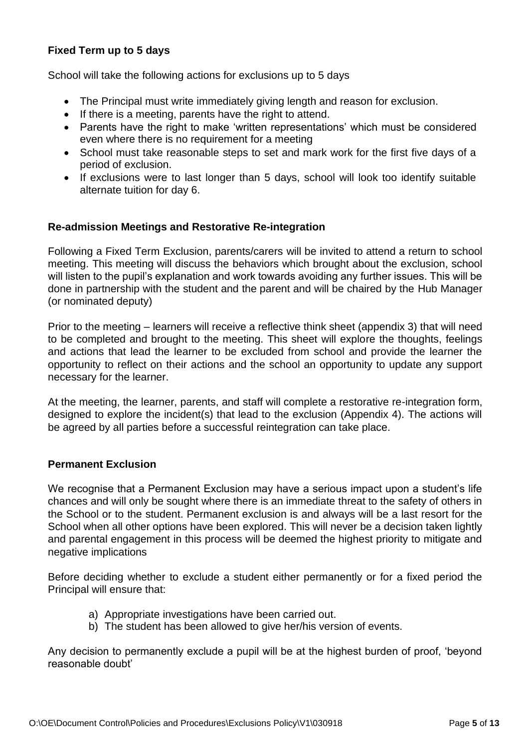#### **Fixed Term up to 5 days**

School will take the following actions for exclusions up to 5 days

- The Principal must write immediately giving length and reason for exclusion.
- If there is a meeting, parents have the right to attend.
- Parents have the right to make 'written representations' which must be considered even where there is no requirement for a meeting
- School must take reasonable steps to set and mark work for the first five days of a period of exclusion.
- If exclusions were to last longer than 5 days, school will look too identify suitable alternate tuition for day 6.

#### **Re-admission Meetings and Restorative Re-integration**

Following a Fixed Term Exclusion, parents/carers will be invited to attend a return to school meeting. This meeting will discuss the behaviors which brought about the exclusion, school will listen to the pupil's explanation and work towards avoiding any further issues. This will be done in partnership with the student and the parent and will be chaired by the Hub Manager (or nominated deputy)

Prior to the meeting – learners will receive a reflective think sheet (appendix 3) that will need to be completed and brought to the meeting. This sheet will explore the thoughts, feelings and actions that lead the learner to be excluded from school and provide the learner the opportunity to reflect on their actions and the school an opportunity to update any support necessary for the learner.

At the meeting, the learner, parents, and staff will complete a restorative re-integration form, designed to explore the incident(s) that lead to the exclusion (Appendix 4). The actions will be agreed by all parties before a successful reintegration can take place.

#### **Permanent Exclusion**

We recognise that a Permanent Exclusion may have a serious impact upon a student's life chances and will only be sought where there is an immediate threat to the safety of others in the School or to the student. Permanent exclusion is and always will be a last resort for the School when all other options have been explored. This will never be a decision taken lightly and parental engagement in this process will be deemed the highest priority to mitigate and negative implications

Before deciding whether to exclude a student either permanently or for a fixed period the Principal will ensure that:

- a) Appropriate investigations have been carried out.
- b) The student has been allowed to give her/his version of events.

Any decision to permanently exclude a pupil will be at the highest burden of proof, 'beyond reasonable doubt'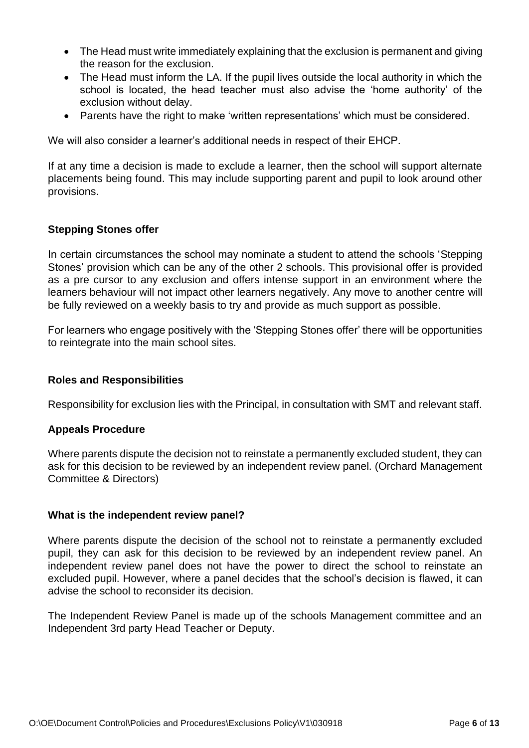- The Head must write immediately explaining that the exclusion is permanent and giving the reason for the exclusion.
- The Head must inform the LA. If the pupil lives outside the local authority in which the school is located, the head teacher must also advise the 'home authority' of the exclusion without delay.
- Parents have the right to make 'written representations' which must be considered.

We will also consider a learner's additional needs in respect of their EHCP.

If at any time a decision is made to exclude a learner, then the school will support alternate placements being found. This may include supporting parent and pupil to look around other provisions.

#### **Stepping Stones offer**

In certain circumstances the school may nominate a student to attend the schools 'Stepping Stones' provision which can be any of the other 2 schools. This provisional offer is provided as a pre cursor to any exclusion and offers intense support in an environment where the learners behaviour will not impact other learners negatively. Any move to another centre will be fully reviewed on a weekly basis to try and provide as much support as possible.

For learners who engage positively with the 'Stepping Stones offer' there will be opportunities to reintegrate into the main school sites.

#### **Roles and Responsibilities**

Responsibility for exclusion lies with the Principal, in consultation with SMT and relevant staff.

#### **Appeals Procedure**

Where parents dispute the decision not to reinstate a permanently excluded student, they can ask for this decision to be reviewed by an independent review panel. (Orchard Management Committee & Directors)

#### **What is the independent review panel?**

Where parents dispute the decision of the school not to reinstate a permanently excluded pupil, they can ask for this decision to be reviewed by an independent review panel. An independent review panel does not have the power to direct the school to reinstate an excluded pupil. However, where a panel decides that the school's decision is flawed, it can advise the school to reconsider its decision.

The Independent Review Panel is made up of the schools Management committee and an Independent 3rd party Head Teacher or Deputy.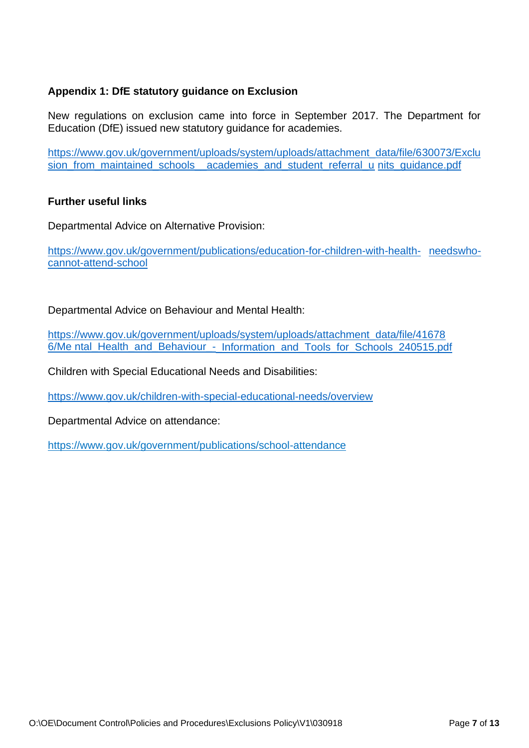#### **Appendix 1: DfE statutory guidance on Exclusion**

New regulations on exclusion came into force in September 2017. The Department for Education (DfE) issued new statutory guidance for academies.

[https://www.gov.uk/government/uploads/system/uploads/attachment\\_data/file/630073/Exclu](https://www.gov.uk/government/uploads/system/uploads/attachment_data/file/630073/Exclusion_from_maintained_schools__academies_and_pupil_referral_units_guidance.pdf) sion from maintained schools academies and student referral u nits quidance.pdf

#### **Further useful links**

Departmental Advice on Alternative Provision:

[https://www.gov.uk/government/publications/education-for-children-with-health-](https://www.gov.uk/government/publications/education-for-children-with-health-needswho-cannot-attend-school) [needswho](https://www.gov.uk/government/publications/education-for-children-with-health-needswho-cannot-attend-school)[cannot-attend-school](https://www.gov.uk/government/publications/education-for-children-with-health-needswho-cannot-attend-school)

Departmental Advice on Behaviour and Mental Health:

[https://www.gov.uk/government/uploads/system/uploads/attachment\\_data/file/41678](https://www.gov.uk/government/uploads/system/uploads/attachment_data/file/416786/Me%20ntal_Health_and_Behaviour_-_Information_and_Tools_for_Schools_240515.pdf) [6/Me ntal\\_Health\\_and\\_Behaviour\\_-\\_Information\\_and\\_Tools\\_for\\_Schools\\_240515.pdf](https://www.gov.uk/government/uploads/system/uploads/attachment_data/file/416786/Me%20ntal_Health_and_Behaviour_-_Information_and_Tools_for_Schools_240515.pdf)

Children with Special Educational Needs and Disabilities:

<https://www.gov.uk/children-with-special-educational-needs/overview>

Departmental Advice on attendance:

<https://www.gov.uk/government/publications/school-attendance>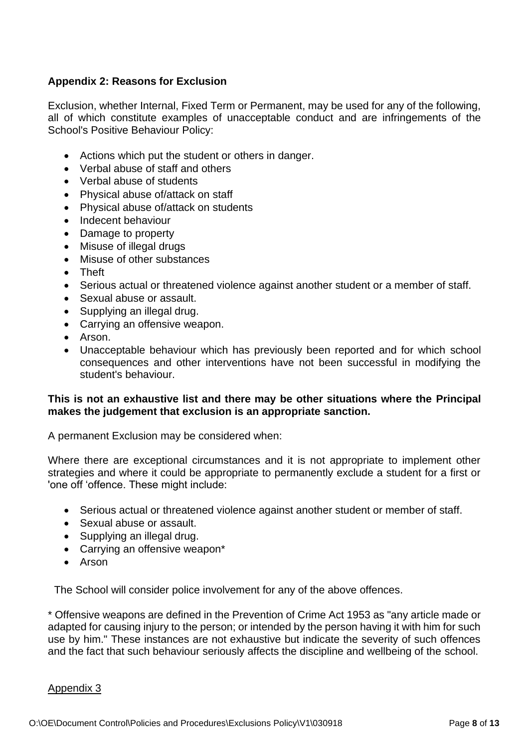#### **Appendix 2: Reasons for Exclusion**

Exclusion, whether Internal, Fixed Term or Permanent, may be used for any of the following, all of which constitute examples of unacceptable conduct and are infringements of the School's Positive Behaviour Policy:

- Actions which put the student or others in danger.
- Verbal abuse of staff and others
- Verbal abuse of students
- Physical abuse of/attack on staff
- Physical abuse of/attack on students
- Indecent behaviour
- Damage to property
- Misuse of illegal drugs
- Misuse of other substances
- Theft
- Serious actual or threatened violence against another student or a member of staff.
- Sexual abuse or assault.
- Supplying an illegal drug.
- Carrying an offensive weapon.
- Arson.
- Unacceptable behaviour which has previously been reported and for which school consequences and other interventions have not been successful in modifying the student's behaviour.

#### **This is not an exhaustive list and there may be other situations where the Principal makes the judgement that exclusion is an appropriate sanction.**

A permanent Exclusion may be considered when:

Where there are exceptional circumstances and it is not appropriate to implement other strategies and where it could be appropriate to permanently exclude a student for a first or 'one off 'offence. These might include:

- Serious actual or threatened violence against another student or member of staff.
- Sexual abuse or assault.
- Supplying an illegal drug.
- Carrying an offensive weapon\*
- Arson

The School will consider police involvement for any of the above offences.

\* Offensive weapons are defined in the Prevention of Crime Act 1953 as "any article made or adapted for causing injury to the person; or intended by the person having it with him for such use by him." These instances are not exhaustive but indicate the severity of such offences and the fact that such behaviour seriously affects the discipline and wellbeing of the school.

#### Appendix 3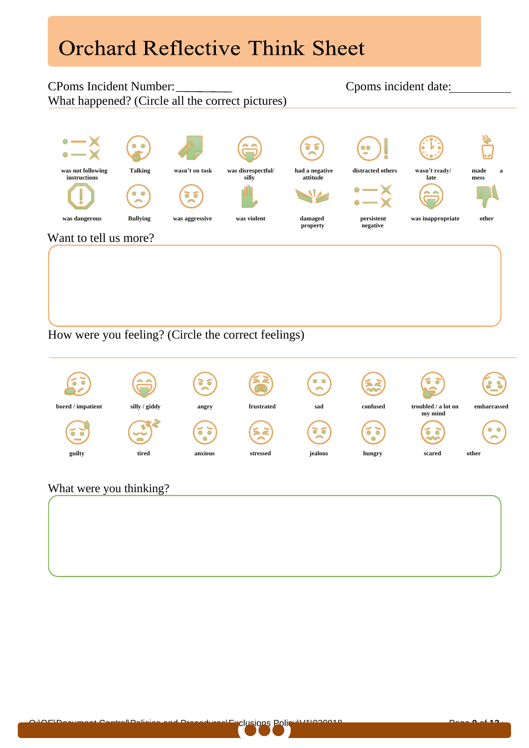## **Orchard Reflective Think Sheet**

#### CPoms Incident Number: Cpoms incident date: What happened? (Circle all the correct pictures)



#### How were you feeling? (Circle the correct feelings)



#### What were you thinking?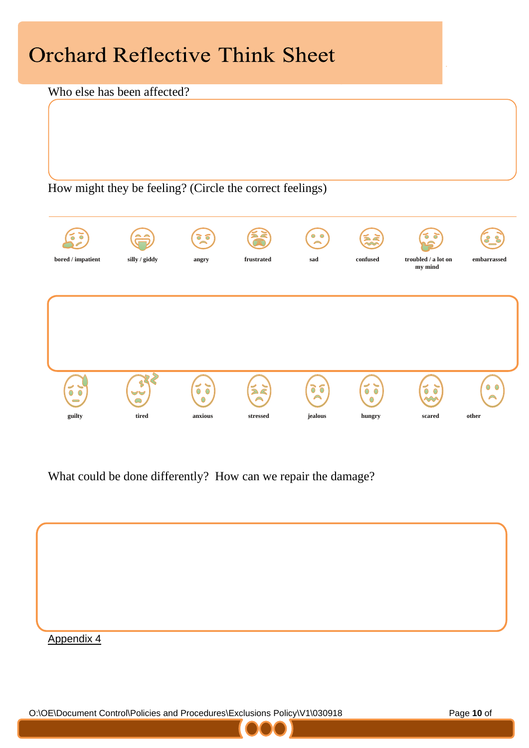## **Orchard Reflective Think Sheet**

#### Who else has been affected?

How might they be feeling? (Circle the correct feelings)



What could be done differently? How can we repair the damage?



O:\OE\Document Control\Policies and Procedures\Exclusions Policy\V1\030918 Page **10** of

**13**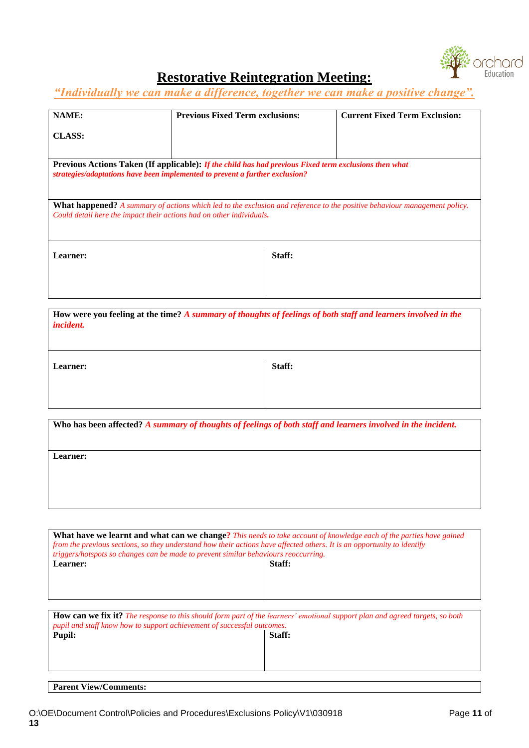

### **Restorative Reintegration Meeting:**

*"Individually we can make a difference, together we can make a positive change".*

| <b>NAME:</b><br><b>Previous Fixed Term exclusions:</b><br><b>Current Fixed Term Exclusion:</b><br><b>CLASS:</b>                  |  |  |  |
|----------------------------------------------------------------------------------------------------------------------------------|--|--|--|
|                                                                                                                                  |  |  |  |
|                                                                                                                                  |  |  |  |
|                                                                                                                                  |  |  |  |
|                                                                                                                                  |  |  |  |
|                                                                                                                                  |  |  |  |
|                                                                                                                                  |  |  |  |
| <b>Previous Actions Taken (If applicable): If the child has had previous Fixed term exclusions then what</b>                     |  |  |  |
| strategies/adaptations have been implemented to prevent a further exclusion?                                                     |  |  |  |
|                                                                                                                                  |  |  |  |
|                                                                                                                                  |  |  |  |
|                                                                                                                                  |  |  |  |
| <b>What happened?</b> A summary of actions which led to the exclusion and reference to the positive behaviour management policy. |  |  |  |
| Could detail here the impact their actions had on other individuals.                                                             |  |  |  |
|                                                                                                                                  |  |  |  |
|                                                                                                                                  |  |  |  |
|                                                                                                                                  |  |  |  |
|                                                                                                                                  |  |  |  |
| Staff:<br>Learner:                                                                                                               |  |  |  |
|                                                                                                                                  |  |  |  |
|                                                                                                                                  |  |  |  |
|                                                                                                                                  |  |  |  |
|                                                                                                                                  |  |  |  |
|                                                                                                                                  |  |  |  |

| How were you feeling at the time? A summary of thoughts of feelings of both staff and learners involved in the<br><i>incident.</i> |        |  |  |  |
|------------------------------------------------------------------------------------------------------------------------------------|--------|--|--|--|
|                                                                                                                                    |        |  |  |  |
| Learner:                                                                                                                           | Staff: |  |  |  |

| Who has been affected? A summary of thoughts of feelings of both staff and learners involved in the incident. |  |  |  |  |
|---------------------------------------------------------------------------------------------------------------|--|--|--|--|
| Learner:                                                                                                      |  |  |  |  |
|                                                                                                               |  |  |  |  |
|                                                                                                               |  |  |  |  |

| What have we learnt and what can we change? This needs to take account of knowledge each of the parties have gained<br>from the previous sections, so they understand how their actions have affected others. It is an opportunity to identify<br>triggers/hotspots so changes can be made to prevent similar behaviours reoccurring.<br>Staff:<br>Learner: |        |  |  |  |
|-------------------------------------------------------------------------------------------------------------------------------------------------------------------------------------------------------------------------------------------------------------------------------------------------------------------------------------------------------------|--------|--|--|--|
|                                                                                                                                                                                                                                                                                                                                                             |        |  |  |  |
| <b>How can we fix it?</b> The response to this should form part of the learners' emotional support plan and agreed targets, so both<br>pupil and staff know how to support achievement of successful outcomes.                                                                                                                                              |        |  |  |  |
| <b>Pupil:</b>                                                                                                                                                                                                                                                                                                                                               | Staff: |  |  |  |
|                                                                                                                                                                                                                                                                                                                                                             |        |  |  |  |

#### **Parent View/Comments:**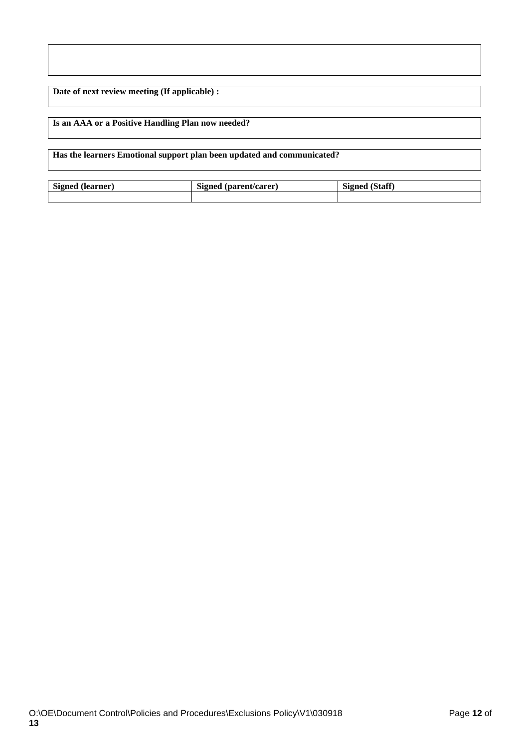**Date of next review meeting (If applicable) :** 

#### **Is an AAA or a Positive Handling Plan now needed?**

**Has the learners Emotional support plan been updated and communicated?** 

| Signed (learner) | . (parent/carer<br>Signed | <b>Signed</b><br>. (Staff |
|------------------|---------------------------|---------------------------|
|                  |                           |                           |